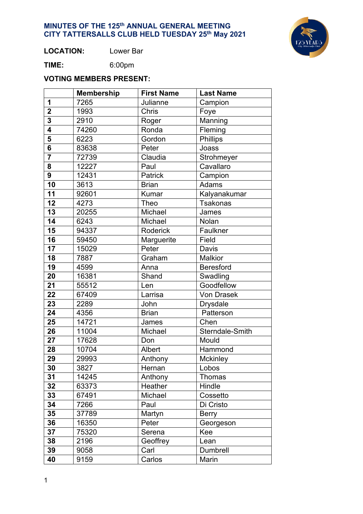

**LOCATION:** Lower Bar

**TIME:** 6:00pm

# **VOTING MEMBERS PRESENT:**

|                         | <b>Membership</b> | <b>First Name</b> | <b>Last Name</b>  |  |
|-------------------------|-------------------|-------------------|-------------------|--|
| 1                       | 7265              | Julianne          | Campion           |  |
| $\overline{2}$          | 1993              | Chris             | Foye              |  |
| $\overline{3}$          | 2910              | Roger             | Manning           |  |
| $\overline{\bf 4}$      | 74260             | Ronda             | Fleming           |  |
| $\overline{\mathbf{5}}$ | 6223              | Gordon            | Phillips          |  |
| $\overline{\mathbf{6}}$ | 83638             | Peter             | Joass             |  |
|                         | 72739             | Claudia           | Strohmeyer        |  |
| 8                       | 12227             | Paul              | Cavallaro         |  |
| 9                       | 12431             | <b>Patrick</b>    | Campion           |  |
| 10                      | 3613              | <b>Brian</b>      | Adams             |  |
| 11                      | 92601             | Kumar             | Kalyanakumar      |  |
| 12                      | 4273              | Theo              | <b>Tsakonas</b>   |  |
| 13                      | 20255             | Michael           | James             |  |
| 14                      | 6243              | Michael           | Nolan             |  |
| 15                      | 94337             | Roderick          | Faulkner          |  |
| 16                      | 59450             | Marguerite        | Field             |  |
| 17                      | 15029             | Peter             | Davis             |  |
| 18                      | 7887              | Graham            | <b>Malkior</b>    |  |
| 19                      | 4599              | Anna              | <b>Beresford</b>  |  |
| 20                      | 16381             | Shand             | Swadling          |  |
| 21                      | 55512             | Len               | Goodfellow        |  |
| 22                      | 67409             | Larrisa           | <b>Von Drasek</b> |  |
| 23                      | 2289              | John              | <b>Drysdale</b>   |  |
| 24                      | 4356              | <b>Brian</b>      | Patterson         |  |
| 25                      | 14721             | James             | Chen              |  |
| 26                      | 11004             | Michael           | Sterndale-Smith   |  |
| 27                      | 17628             | Don               | Mould             |  |
| 28                      | 10704             | Albert            | Hammond           |  |
| 29                      | 29993             | Anthony           | Mckinley          |  |
| 30                      | 3827              | Hernan            | Lobos             |  |
| 31                      | 14245             | Anthony           | Thomas            |  |
| 32                      | 63373             | Heather           | Hindle            |  |
| 33                      | 67491             | Michael           | Cossetto          |  |
| 34                      | 7266              | Paul              | Di Cristo         |  |
| 35                      | 37789             | Martyn            | <b>Berry</b>      |  |
| 36                      | 16350             | Peter             | Georgeson         |  |
| 37                      | 75320             | Serena            | Kee               |  |
| 38                      | 2196              | Geoffrey          | Lean              |  |
| 39                      | 9058              | Carl              | Dumbrell          |  |
| 40                      | 9159              | Carlos            | Marin             |  |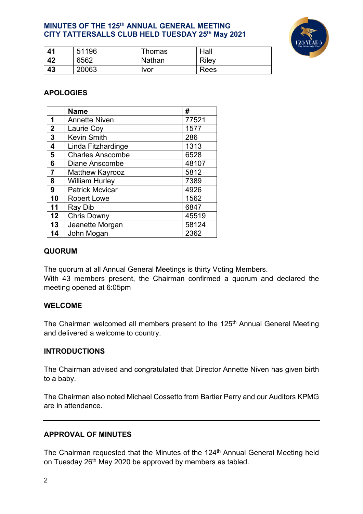

| 41 | 51196 | Thomas      | Hall  |
|----|-------|-------------|-------|
| 42 | 6562  | Nathan      | Riley |
| 43 | 20063 | <u>Ivor</u> | Rees  |

## **APOLOGIES**

|                | <b>Name</b>             | #     |
|----------------|-------------------------|-------|
| 1              | <b>Annette Niven</b>    | 77521 |
| $\overline{2}$ | Laurie Coy              | 1577  |
| 3              | <b>Kevin Smith</b>      | 286   |
| 4              | Linda Fitzhardinge      | 1313  |
| 5              | <b>Charles Anscombe</b> | 6528  |
| 6              | Diane Anscombe          | 48107 |
| $\overline{7}$ | <b>Matthew Kayrooz</b>  | 5812  |
| 8              | <b>William Hurley</b>   | 7389  |
| 9              | <b>Patrick Mcvicar</b>  | 4926  |
| 10             | <b>Robert Lowe</b>      | 1562  |
| 11             | Ray Dib                 | 6847  |
| 12             | <b>Chris Downy</b>      | 45519 |
| 13             | Jeanette Morgan         | 58124 |
| 14             | John Mogan              | 2362  |

#### **QUORUM**

The quorum at all Annual General Meetings is thirty Voting Members. With 43 members present, the Chairman confirmed a quorum and declared the meeting opened at 6:05pm

#### **WELCOME**

The Chairman welcomed all members present to the 125<sup>th</sup> Annual General Meeting and delivered a welcome to country.

#### **INTRODUCTIONS**

The Chairman advised and congratulated that Director Annette Niven has given birth to a baby.

The Chairman also noted Michael Cossetto from Bartier Perry and our Auditors KPMG are in attendance.

#### **APPROVAL OF MINUTES**

The Chairman requested that the Minutes of the 124<sup>th</sup> Annual General Meeting held on Tuesday 26<sup>th</sup> May 2020 be approved by members as tabled.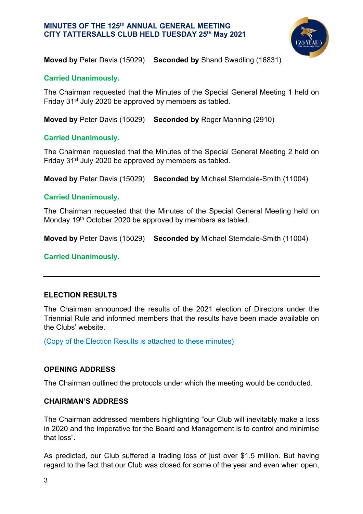

**Moved by** Peter Davis (15029) **Seconded by** Shand Swadling (16831)

### **Carried Unanimously.**

The Chairman requested that the Minutes of the Special General Meeting 1 held on Friday 31st July 2020 be approved by members as tabled.

**Moved by** Peter Davis (15029) **Seconded by** Roger Manning (2910)

### **Carried Unanimously.**

The Chairman requested that the Minutes of the Special General Meeting 2 held on Friday 31st July 2020 be approved by members as tabled.

**Moved by** Peter Davis (15029) **Seconded by** Michael Sterndale-Smith (11004)

### **Carried Unanimously.**

The Chairman requested that the Minutes of the Special General Meeting held on Monday 19<sup>th</sup> October 2020 be approved by members as tabled.

**Moved by** Peter Davis (15029) **Seconded by** Michael Sterndale-Smith (11004)

**Carried Unanimously.** 

## **ELECTION RESULTS**

The Chairman announced the results of the 2021 election of Directors under the Triennial Rule and informed members that the results have been made available on the Clubs' website.

(Copy of the Election Results is attached to these minutes)

#### **OPENING ADDRESS**

The Chairman outlined the protocols under which the meeting would be conducted.

#### **CHAIRMAN'S ADDRESS**

The Chairman addressed members highlighting "our Club will inevitably make a loss in 2020 and the imperative for the Board and Management is to control and minimise that loss".

As predicted, our Club suffered a trading loss of just over \$1.5 million. But having regard to the fact that our Club was closed for some of the year and even when open,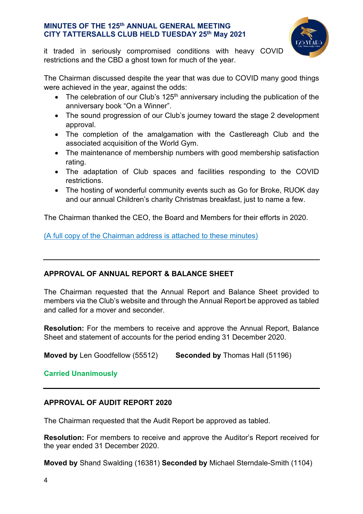

it traded in seriously compromised conditions with heavy COVID restrictions and the CBD a ghost town for much of the year.

The Chairman discussed despite the year that was due to COVID many good things were achieved in the year, against the odds:

- The celebration of our Club's  $125<sup>th</sup>$  anniversary including the publication of the anniversary book "On a Winner".
- The sound progression of our Club's journey toward the stage 2 development approval.
- The completion of the amalgamation with the Castlereagh Club and the associated acquisition of the World Gym.
- The maintenance of membership numbers with good membership satisfaction rating.
- The adaptation of Club spaces and facilities responding to the COVID restrictions.
- The hosting of wonderful community events such as Go for Broke, RUOK day and our annual Children's charity Christmas breakfast, just to name a few.

The Chairman thanked the CEO, the Board and Members for their efforts in 2020.

(A full copy of the Chairman address is attached to these minutes)

# **APPROVAL OF ANNUAL REPORT & BALANCE SHEET**

The Chairman requested that the Annual Report and Balance Sheet provided to members via the Club's website and through the Annual Report be approved as tabled and called for a mover and seconder.

**Resolution:** For the members to receive and approve the Annual Report, Balance Sheet and statement of accounts for the period ending 31 December 2020.

**Moved by** Len Goodfellow (55512) **Seconded by** Thomas Hall (51196)

## **Carried Unanimously**

## **APPROVAL OF AUDIT REPORT 2020**

The Chairman requested that the Audit Report be approved as tabled.

**Resolution:** For members to receive and approve the Auditor's Report received for the year ended 31 December 2020.

**Moved by** Shand Swalding (16381) **Seconded by** Michael Sterndale-Smith (1104)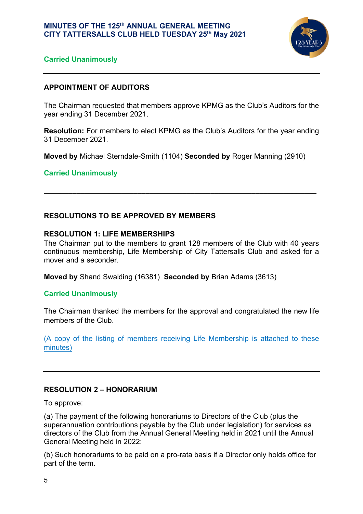

## **Carried Unanimously**

## **APPOINTMENT OF AUDITORS**

The Chairman requested that members approve KPMG as the Club's Auditors for the year ending 31 December 2021.

**Resolution:** For members to elect KPMG as the Club's Auditors for the year ending 31 December 2021.

**Moved by** Michael Sterndale-Smith (1104) **Seconded by** Roger Manning (2910)

**\_\_\_\_\_\_\_\_\_\_\_\_\_\_\_\_\_\_\_\_\_\_\_\_\_\_\_\_\_\_\_\_\_\_\_\_\_\_\_\_\_\_\_\_\_\_\_\_\_\_\_\_\_\_\_\_\_\_\_\_\_\_\_\_\_\_\_**

#### **Carried Unanimously**

### **RESOLUTIONS TO BE APPROVED BY MEMBERS**

#### **RESOLUTION 1: LIFE MEMBERSHIPS**

The Chairman put to the members to grant 128 members of the Club with 40 years continuous membership, Life Membership of City Tattersalls Club and asked for a mover and a seconder.

**Moved by** Shand Swalding (16381) **Seconded by** Brian Adams (3613)

#### **Carried Unanimously**

The Chairman thanked the members for the approval and congratulated the new life members of the Club.

(A copy of the listing of members receiving Life Membership is attached to these minutes)

#### **RESOLUTION 2 – HONORARIUM**

To approve:

(a) The payment of the following honorariums to Directors of the Club (plus the superannuation contributions payable by the Club under legislation) for services as directors of the Club from the Annual General Meeting held in 2021 until the Annual General Meeting held in 2022:

(b) Such honorariums to be paid on a pro-rata basis if a Director only holds office for part of the term.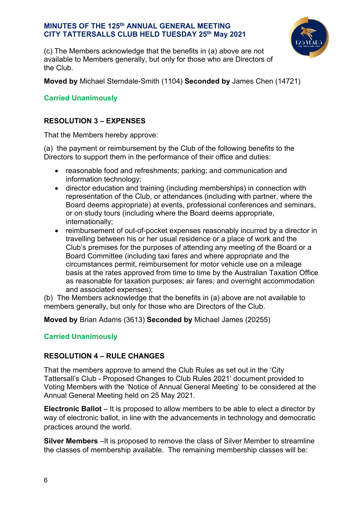

(c) The Members acknowledge that the benefits in (a) above are not available to Members generally, but only for those who are Directors of the Club.

**Moved by** Michael Sterndale-Smith (1104) **Seconded by** James Chen (14721)

## **Carried Unanimously**

## **RESOLUTION 3 – EXPENSES**

That the Members hereby approve:

(a) the payment or reimbursement by the Club of the following benefits to the Directors to support them in the performance of their office and duties:

- reasonable food and refreshments; parking; and communication and information technology;
- director education and training (including memberships) in connection with representation of the Club, or attendances (including with partner, where the Board deems appropriate) at events, professional conferences and seminars, or on study tours (including where the Board deems appropriate, internationally;
- reimbursement of out-of-pocket expenses reasonably incurred by a director in travelling between his or her usual residence or a place of work and the Club's premises for the purposes of attending any meeting of the Board or a Board Committee (including taxi fares and where appropriate and the circumstances permit, reimbursement for motor vehicle use on a mileage basis at the rates approved from time to time by the Australian Taxation Office as reasonable for taxation purposes; air fares; and overnight accommodation and associated expenses);

(b) The Members acknowledge that the benefits in (a) above are not available to members generally, but only for those who are Directors of the Club.

**Moved by** Brian Adams (3613) **Seconded by** Michael James (20255)

## **Carried Unanimously**

## **RESOLUTION 4 – RULE CHANGES**

That the members approve to amend the Club Rules as set out in the 'City Tattersall's Club - Proposed Changes to Club Rules 2021' document provided to Voting Members with the 'Notice of Annual General Meeting' to be considered at the Annual General Meeting held on 25 May 2021.

**Electronic Ballot** – It is proposed to allow members to be able to elect a director by way of electronic ballot, in line with the advancements in technology and democratic practices around the world.

**Silver Members** – It is proposed to remove the class of Silver Member to streamline the classes of membership available. The remaining membership classes will be: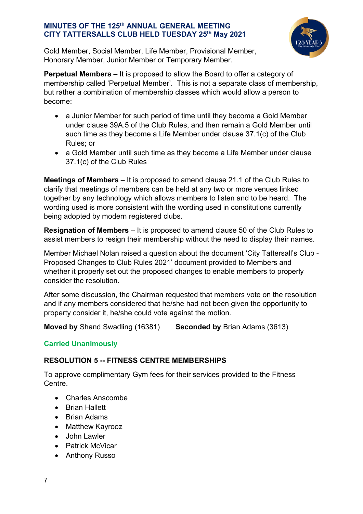

Gold Member, Social Member, Life Member, Provisional Member, Honorary Member, Junior Member or Temporary Member.

**Perpetual Members –** It is proposed to allow the Board to offer a category of membership called 'Perpetual Member'. This is not a separate class of membership, but rather a combination of membership classes which would allow a person to become:

- a Junior Member for such period of time until they become a Gold Member under clause 39A.5 of the Club Rules, and then remain a Gold Member until such time as they become a Life Member under clause 37.1(c) of the Club Rules; or
- a Gold Member until such time as they become a Life Member under clause 37.1(c) of the Club Rules

**Meetings of Members** – It is proposed to amend clause 21.1 of the Club Rules to clarify that meetings of members can be held at any two or more venues linked together by any technology which allows members to listen and to be heard. The wording used is more consistent with the wording used in constitutions currently being adopted by modern registered clubs.

**Resignation of Members** – It is proposed to amend clause 50 of the Club Rules to assist members to resign their membership without the need to display their names.

Member Michael Nolan raised a question about the document 'City Tattersall's Club - Proposed Changes to Club Rules 2021' document provided to Members and whether it properly set out the proposed changes to enable members to properly consider the resolution.

After some discussion, the Chairman requested that members vote on the resolution and if any members considered that he/she had not been given the opportunity to property consider it, he/she could vote against the motion.

**Moved by** Shand Swadling (16381) **Seconded by** Brian Adams (3613)

# **Carried Unanimously**

# **RESOLUTION 5 -- FITNESS CENTRE MEMBERSHIPS**

To approve complimentary Gym fees for their services provided to the Fitness Centre.

- Charles Anscombe
- Brian Hallett
- Brian Adams
- Matthew Kayrooz
- John Lawler
- Patrick McVicar
- Anthony Russo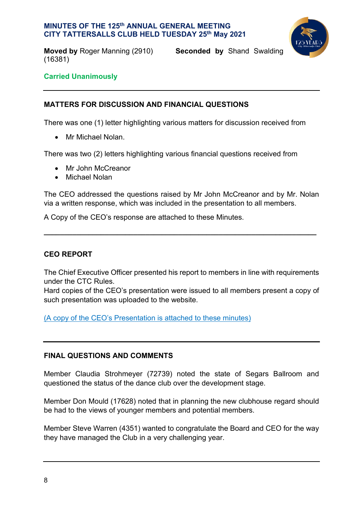

**Moved by** Roger Manning (2910) **Seconded by** Shand Swalding (16381)

## **Carried Unanimously**

## **MATTERS FOR DISCUSSION AND FINANCIAL QUESTIONS**

There was one (1) letter highlighting various matters for discussion received from

• Mr Michael Nolan.

There was two (2) letters highlighting various financial questions received from

- Mr John McCreanor
- Michael Nolan

The CEO addressed the questions raised by Mr John McCreanor and by Mr. Nolan via a written response, which was included in the presentation to all members.

**\_\_\_\_\_\_\_\_\_\_\_\_\_\_\_\_\_\_\_\_\_\_\_\_\_\_\_\_\_\_\_\_\_\_\_\_\_\_\_\_\_\_\_\_\_\_\_\_\_\_\_\_\_\_\_\_\_\_\_\_\_\_\_\_\_\_\_**

A Copy of the CEO's response are attached to these Minutes.

## **CEO REPORT**

The Chief Executive Officer presented his report to members in line with requirements under the CTC Rules.

Hard copies of the CEO's presentation were issued to all members present a copy of such presentation was uploaded to the website.

(A copy of the CEO's Presentation is attached to these minutes)

## **FINAL QUESTIONS AND COMMENTS**

Member Claudia Strohmeyer (72739) noted the state of Segars Ballroom and questioned the status of the dance club over the development stage.

Member Don Mould (17628) noted that in planning the new clubhouse regard should be had to the views of younger members and potential members.

Member Steve Warren (4351) wanted to congratulate the Board and CEO for the way they have managed the Club in a very challenging year.